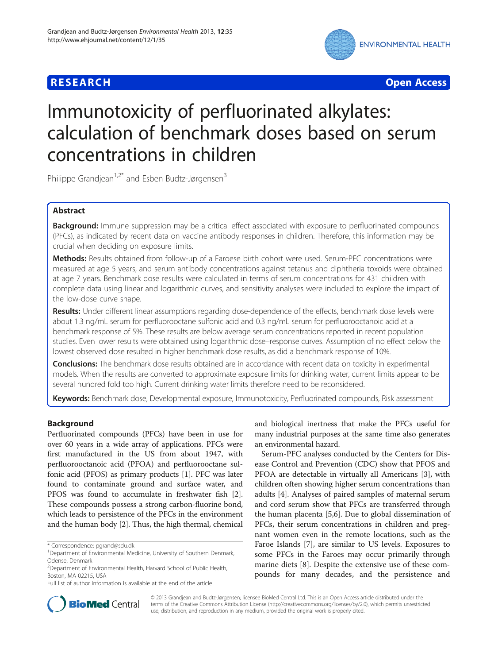

**RESEARCH CHEAR CHEAR CHEAR CHEAR CHEAR CHEAR CHEAR CHEAR CHEAR CHEAR CHEAR CHEAR CHEAR CHEAR CHEAR CHEAR CHEAR** 

# Immunotoxicity of perfluorinated alkylates: calculation of benchmark doses based on serum concentrations in children

Philippe Grandjean<sup>1,2\*</sup> and Esben Budtz-Jørgensen<sup>3</sup>

# Abstract

Background: Immune suppression may be a critical effect associated with exposure to perfluorinated compounds (PFCs), as indicated by recent data on vaccine antibody responses in children. Therefore, this information may be crucial when deciding on exposure limits.

Methods: Results obtained from follow-up of a Faroese birth cohort were used. Serum-PFC concentrations were measured at age 5 years, and serum antibody concentrations against tetanus and diphtheria toxoids were obtained at age 7 years. Benchmark dose results were calculated in terms of serum concentrations for 431 children with complete data using linear and logarithmic curves, and sensitivity analyses were included to explore the impact of the low-dose curve shape.

Results: Under different linear assumptions regarding dose-dependence of the effects, benchmark dose levels were about 1.3 ng/mL serum for perfluorooctane sulfonic acid and 0.3 ng/mL serum for perfluorooctanoic acid at a benchmark response of 5%. These results are below average serum concentrations reported in recent population studies. Even lower results were obtained using logarithmic dose–response curves. Assumption of no effect below the lowest observed dose resulted in higher benchmark dose results, as did a benchmark response of 10%.

**Conclusions:** The benchmark dose results obtained are in accordance with recent data on toxicity in experimental models. When the results are converted to approximate exposure limits for drinking water, current limits appear to be several hundred fold too high. Current drinking water limits therefore need to be reconsidered.

Keywords: Benchmark dose, Developmental exposure, Immunotoxicity, Perfluorinated compounds, Risk assessment

# Background

Perfluorinated compounds (PFCs) have been in use for over 60 years in a wide array of applications. PFCs were first manufactured in the US from about 1947, with perfluorooctanoic acid (PFOA) and perfluorooctane sulfonic acid (PFOS) as primary products [1]. PFC was later found to contaminate ground and surface water, and PFOS was found to accumulate in freshwater fish [2]. These compounds possess a strong carbon-fluorine bond, which leads to persistence of the PFCs in the environment and the human body [2]. Thus, the high thermal, chemical

and biological inertness that make the PFCs useful for many industrial purposes at the same time also generates an environmental hazard.

Serum-PFC analyses conducted by the Centers for Disease Control and Prevention (CDC) show that PFOS and PFOA are detectable in virtually all Americans [3], with children often showing higher serum concentrations than adults [4]. Analyses of paired samples of maternal serum and cord serum show that PFCs are transferred through the human placenta [5,6]. Due to global dissemination of PFCs, their serum concentrations in children and pregnant women even in the remote locations, such as the Faroe Islands [7], are similar to US levels. Exposures to some PFCs in the Faroes may occur primarily through marine diets [8]. Despite the extensive use of these compounds for many decades, and the persistence and



© 2013 Grandjean and Budtz-Jørgensen; licensee BioMed Central Ltd. This is an Open Access article distributed under the terms of the Creative Commons Attribution License (http://creativecommons.org/licenses/by/2.0), which permits unrestricted use, distribution, and reproduction in any medium, provided the original work is properly cited.

<sup>\*</sup> Correspondence: pgrand@sdu.dk <sup>1</sup>

<sup>&</sup>lt;sup>1</sup>Department of Environmental Medicine, University of Southern Denmark, Odense, Denmark

<sup>&</sup>lt;sup>2</sup>Department of Environmental Health, Harvard School of Public Health, Boston, MA 02215, USA

Full list of author information is available at the end of the article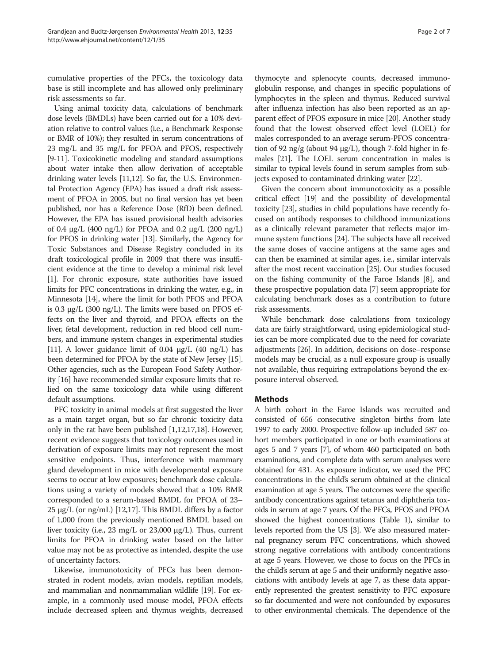cumulative properties of the PFCs, the toxicology data base is still incomplete and has allowed only preliminary risk assessments so far.

Using animal toxicity data, calculations of benchmark dose levels (BMDLs) have been carried out for a 10% deviation relative to control values (i.e., a Benchmark Response or BMR of 10%); they resulted in serum concentrations of 23 mg/L and 35 mg/L for PFOA and PFOS, respectively [9-11]. Toxicokinetic modeling and standard assumptions about water intake then allow derivation of acceptable drinking water levels [11,12]. So far, the U.S. Environmental Protection Agency (EPA) has issued a draft risk assessment of PFOA in 2005, but no final version has yet been published, nor has a Reference Dose (RfD) been defined. However, the EPA has issued provisional health advisories of 0.4 μg/L (400 ng/L) for PFOA and 0.2 μg/L (200 ng/L) for PFOS in drinking water [13]. Similarly, the Agency for Toxic Substances and Disease Registry concluded in its draft toxicological profile in 2009 that there was insufficient evidence at the time to develop a minimal risk level [1]. For chronic exposure, state authorities have issued limits for PFC concentrations in drinking the water, e.g., in Minnesota [14], where the limit for both PFOS and PFOA is 0.3 μg/L (300 ng/L). The limits were based on PFOS effects on the liver and thyroid, and PFOA effects on the liver, fetal development, reduction in red blood cell numbers, and immune system changes in experimental studies [11]. A lower guidance limit of 0.04  $\mu$ g/L (40 ng/L) has been determined for PFOA by the state of New Jersey [15]. Other agencies, such as the European Food Safety Authority [16] have recommended similar exposure limits that relied on the same toxicology data while using different default assumptions.

PFC toxicity in animal models at first suggested the liver as a main target organ, but so far chronic toxicity data only in the rat have been published [1,12,17,18]. However, recent evidence suggests that toxicology outcomes used in derivation of exposure limits may not represent the most sensitive endpoints. Thus, interference with mammary gland development in mice with developmental exposure seems to occur at low exposures; benchmark dose calculations using a variety of models showed that a 10% BMR corresponded to a serum-based BMDL for PFOA of 23– 25 μg/L (or ng/mL) [12,17]. This BMDL differs by a factor of 1,000 from the previously mentioned BMDL based on liver toxicity (i.e., 23 mg/L or 23,000 μg/L). Thus, current limits for PFOA in drinking water based on the latter value may not be as protective as intended, despite the use of uncertainty factors.

Likewise, immunotoxicity of PFCs has been demonstrated in rodent models, avian models, reptilian models, and mammalian and nonmammalian wildlife [19]. For example, in a commonly used mouse model, PFOA effects include decreased spleen and thymus weights, decreased

thymocyte and splenocyte counts, decreased immunoglobulin response, and changes in specific populations of lymphocytes in the spleen and thymus. Reduced survival after influenza infection has also been reported as an apparent effect of PFOS exposure in mice [20]. Another study found that the lowest observed effect level (LOEL) for males corresponded to an average serum-PFOS concentration of 92 ng/g (about 94 μg/L), though 7-fold higher in females [21]. The LOEL serum concentration in males is similar to typical levels found in serum samples from subjects exposed to contaminated drinking water [22].

Given the concern about immunotoxicity as a possible critical effect [19] and the possibility of developmental toxicity [23], studies in child populations have recently focused on antibody responses to childhood immunizations as a clinically relevant parameter that reflects major immune system functions [24]. The subjects have all received the same doses of vaccine antigens at the same ages and can then be examined at similar ages, i.e., similar intervals after the most recent vaccination [25]. Our studies focused on the fishing community of the Faroe Islands [8], and these prospective population data [7] seem appropriate for calculating benchmark doses as a contribution to future risk assessments.

While benchmark dose calculations from toxicology data are fairly straightforward, using epidemiological studies can be more complicated due to the need for covariate adjustments [26]. In addition, decisions on dose–response models may be crucial, as a null exposure group is usually not available, thus requiring extrapolations beyond the exposure interval observed.

# **Methods**

A birth cohort in the Faroe Islands was recruited and consisted of 656 consecutive singleton births from late 1997 to early 2000. Prospective follow-up included 587 cohort members participated in one or both examinations at ages 5 and 7 years [7], of whom 460 participated on both examinations, and complete data with serum analyses were obtained for 431. As exposure indicator, we used the PFC concentrations in the child's serum obtained at the clinical examination at age 5 years. The outcomes were the specific antibody concentrations against tetanus and diphtheria toxoids in serum at age 7 years. Of the PFCs, PFOS and PFOA showed the highest concentrations (Table 1), similar to levels reported from the US [3]. We also measured maternal pregnancy serum PFC concentrations, which showed strong negative correlations with antibody concentrations at age 5 years. However, we chose to focus on the PFCs in the child's serum at age 5 and their uniformly negative associations with antibody levels at age 7, as these data apparently represented the greatest sensitivity to PFC exposure so far documented and were not confounded by exposures to other environmental chemicals. The dependence of the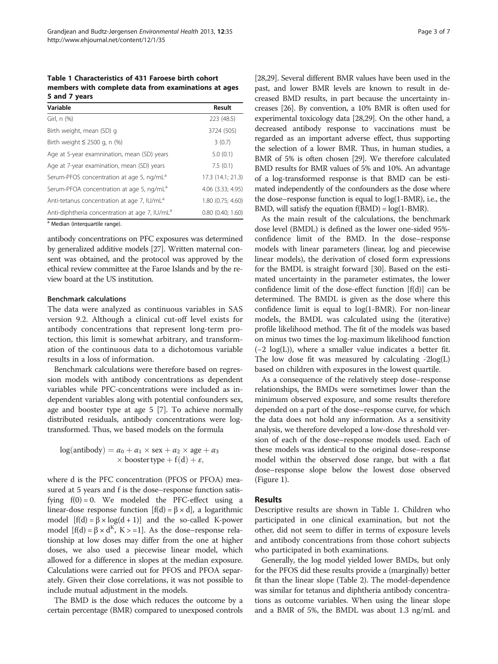Table 1 Characteristics of 431 Faroese birth cohort members with complete data from examinations at ages 5 and 7 years

| Variable                                                   | Result               |
|------------------------------------------------------------|----------------------|
| Girl, n (%)                                                | 223 (48.5)           |
| Birth weight, mean (SD) g                                  | 3724 (505)           |
| Birth weight $\leq$ 2500 g, n (%)                          | 3(0.7)               |
| Age at 5-year examnination, mean (SD) years                | 5.0(0.1)             |
| Age at 7-year examination, mean (SD) years                 | 7.5(0.1)             |
| Serum-PFOS concentration at age 5, ng/mL <sup>a</sup>      | 17.3 (14.1; 21.3)    |
| Serum-PFOA concentration at age 5, ng/mL <sup>ª</sup>      | 4.06 (3.33; 4.95)    |
| Anti-tetanus concentration at age 7, IU/mL <sup>a</sup>    | 1.80 (0.75; 4.60)    |
| Anti-diphtheria concentration at age 7, IU/mL <sup>a</sup> | $0.80$ $(0.40:1.60)$ |

a Median (interquartile range).

antibody concentrations on PFC exposures was determined by generalized additive models [27]. Written maternal consent was obtained, and the protocol was approved by the ethical review committee at the Faroe Islands and by the review board at the US institution.

## Benchmark calculations

The data were analyzed as continuous variables in SAS version 9.2. Although a clinical cut-off level exists for antibody concentrations that represent long-term protection, this limit is somewhat arbitrary, and transformation of the continuous data to a dichotomous variable results in a loss of information.

Benchmark calculations were therefore based on regression models with antibody concentrations as dependent variables while PFC-concentrations were included as independent variables along with potential confounders sex, age and booster type at age 5 [7]. To achieve normally distributed residuals, antibody concentrations were logtransformed. Thus, we based models on the formula

$$
log(antibody) = \alpha_0 + \alpha_1 \times sex + \alpha_2 \times age + \alpha_3
$$
  
 
$$
\times bosster type + f(d) + \varepsilon,
$$

where d is the PFC concentration (PFOS or PFOA) measured at 5 years and f is the dose–response function satisfying  $f(0) = 0$ . We modeled the PFC-effect using a linear-dose response function  $[f(d) = \beta \times d]$ , a logarithmic model  $[f(d) = \beta \times \log(d + 1)]$  and the so-called K-power model  $[f(d) = \beta \times d^{K}, K > 1]$ . As the dose–response relationship at low doses may differ from the one at higher doses, we also used a piecewise linear model, which allowed for a difference in slopes at the median exposure. Calculations were carried out for PFOS and PFOA separately. Given their close correlations, it was not possible to include mutual adjustment in the models.

The BMD is the dose which reduces the outcome by a certain percentage (BMR) compared to unexposed controls

[28,29]. Several different BMR values have been used in the past, and lower BMR levels are known to result in decreased BMD results, in part because the uncertainty increases [26]. By convention, a 10% BMR is often used for experimental toxicology data [28,29]. On the other hand, a decreased antibody response to vaccinations must be regarded as an important adverse effect, thus supporting the selection of a lower BMR. Thus, in human studies, a BMR of 5% is often chosen [29]. We therefore calculated BMD results for BMR values of 5% and 10%. An advantage of a log-transformed response is that BMD can be estimated independently of the confounders as the dose where the dose–response function is equal to log(1-BMR), i.e., the BMD, will satisfy the equation  $f(BMD) = log(1-BMR)$ .

As the main result of the calculations, the benchmark dose level (BMDL) is defined as the lower one-sided 95% confidence limit of the BMD. In the dose–response models with linear parameters (linear, log and piecewise linear models), the derivation of closed form expressions for the BMDL is straight forward [30]. Based on the estimated uncertainty in the parameter estimates, the lower confidence limit of the dose-effect function [f(d)] can be determined. The BMDL is given as the dose where this confidence limit is equal to log(1-BMR). For non-linear models, the BMDL was calculated using the (iterative) profile likelihood method. The fit of the models was based on minus two times the log-maximum likelihood function  $(-2 \log(L))$ , where a smaller value indicates a better fit. The low dose fit was measured by calculating -2log(L) based on children with exposures in the lowest quartile.

As a consequence of the relatively steep dose–response relationships, the BMDs were sometimes lower than the minimum observed exposure, and some results therefore depended on a part of the dose–response curve, for which the data does not hold any information. As a sensitivity analysis, we therefore developed a low-dose threshold version of each of the dose–response models used. Each of these models was identical to the original dose–response model within the observed dose range, but with a flat dose–response slope below the lowest dose observed (Figure 1).

# Results

Descriptive results are shown in Table 1. Children who participated in one clinical examination, but not the other, did not seem to differ in terms of exposure levels and antibody concentrations from those cohort subjects who participated in both examinations.

Generally, the log model yielded lower BMDs, but only for the PFOS did these results provide a (marginally) better fit than the linear slope (Table 2). The model-dependence was similar for tetanus and diphtheria antibody concentrations as outcome variables. When using the linear slope and a BMR of 5%, the BMDL was about 1.3 ng/mL and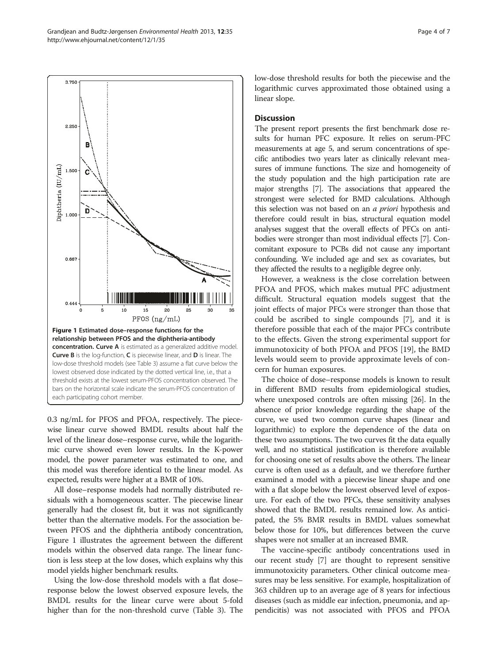

0.3 ng/mL for PFOS and PFOA, respectively. The piecewise linear curve showed BMDL results about half the level of the linear dose–response curve, while the logarithmic curve showed even lower results. In the K-power model, the power parameter was estimated to one, and this model was therefore identical to the linear model. As expected, results were higher at a BMR of 10%.

All dose–response models had normally distributed residuals with a homogeneous scatter. The piecewise linear generally had the closest fit, but it was not significantly better than the alternative models. For the association between PFOS and the diphtheria antibody concentration, Figure 1 illustrates the agreement between the different models within the observed data range. The linear function is less steep at the low doses, which explains why this model yields higher benchmark results.

Using the low-dose threshold models with a flat dose– response below the lowest observed exposure levels, the BMDL results for the linear curve were about 5-fold higher than for the non-threshold curve (Table 3). The low-dose threshold results for both the piecewise and the logarithmic curves approximated those obtained using a linear slope.

# **Discussion**

The present report presents the first benchmark dose results for human PFC exposure. It relies on serum-PFC measurements at age 5, and serum concentrations of specific antibodies two years later as clinically relevant measures of immune functions. The size and homogeneity of the study population and the high participation rate are major strengths [7]. The associations that appeared the strongest were selected for BMD calculations. Although this selection was not based on an *a priori* hypothesis and therefore could result in bias, structural equation model analyses suggest that the overall effects of PFCs on antibodies were stronger than most individual effects [7]. Concomitant exposure to PCBs did not cause any important confounding. We included age and sex as covariates, but they affected the results to a negligible degree only.

However, a weakness is the close correlation between PFOA and PFOS, which makes mutual PFC adjustment difficult. Structural equation models suggest that the joint effects of major PFCs were stronger than those that could be ascribed to single compounds [7], and it is therefore possible that each of the major PFCs contribute to the effects. Given the strong experimental support for immunotoxicity of both PFOA and PFOS [19], the BMD levels would seem to provide approximate levels of concern for human exposures.

The choice of dose–response models is known to result in different BMD results from epidemiological studies, where unexposed controls are often missing [26]. In the absence of prior knowledge regarding the shape of the curve, we used two common curve shapes (linear and logarithmic) to explore the dependence of the data on these two assumptions. The two curves fit the data equally well, and no statistical justification is therefore available for choosing one set of results above the others. The linear curve is often used as a default, and we therefore further examined a model with a piecewise linear shape and one with a flat slope below the lowest observed level of exposure. For each of the two PFCs, these sensitivity analyses showed that the BMDL results remained low. As anticipated, the 5% BMR results in BMDL values somewhat below those for 10%, but differences between the curve shapes were not smaller at an increased BMR.

The vaccine-specific antibody concentrations used in our recent study [7] are thought to represent sensitive immunotoxicity parameters. Other clinical outcome measures may be less sensitive. For example, hospitalization of 363 children up to an average age of 8 years for infectious diseases (such as middle ear infection, pneumonia, and appendicitis) was not associated with PFOS and PFOA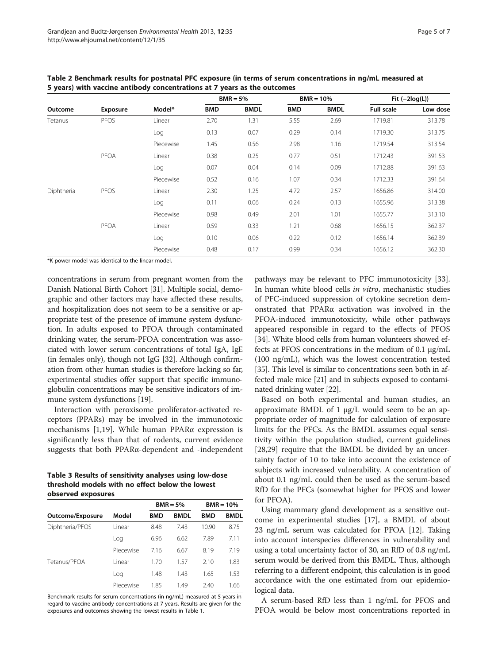| Outcome    | <b>Exposure</b> | Model*    | $BMR = 5%$ |             | $BMR = 10%$ |             | Fit $(-2log(L))$  |          |
|------------|-----------------|-----------|------------|-------------|-------------|-------------|-------------------|----------|
|            |                 |           | <b>BMD</b> | <b>BMDL</b> | <b>BMD</b>  | <b>BMDL</b> | <b>Full scale</b> | Low dose |
| Tetanus    | <b>PFOS</b>     | Linear    | 2.70       | 1.31        | 5.55        | 2.69        | 1719.81           | 313.78   |
|            |                 | Log       | 0.13       | 0.07        | 0.29        | 0.14        | 1719.30           | 313.75   |
|            |                 | Piecewise | 1.45       | 0.56        | 2.98        | 1.16        | 1719.54           | 313.54   |
|            | PFOA            | Linear    | 0.38       | 0.25        | 0.77        | 0.51        | 1712.43           | 391.53   |
|            |                 | Log       | 0.07       | 0.04        | 0.14        | 0.09        | 1712.88           | 391.63   |
|            |                 | Piecewise | 0.52       | 0.16        | 1.07        | 0.34        | 1712.33           | 391.64   |
| Diphtheria | PFOS            | Linear    | 2.30       | 1.25        | 4.72        | 2.57        | 1656.86           | 314.00   |
|            |                 | Log       | 0.11       | 0.06        | 0.24        | 0.13        | 1655.96           | 313.38   |
|            |                 | Piecewise | 0.98       | 0.49        | 2.01        | 1.01        | 1655.77           | 313.10   |
|            | PFOA            | Linear    | 0.59       | 0.33        | 1.21        | 0.68        | 1656.15           | 362.37   |
|            |                 | Log       | 0.10       | 0.06        | 0.22        | 0.12        | 1656.14           | 362.39   |
|            |                 | Piecewise | 0.48       | 0.17        | 0.99        | 0.34        | 1656.12           | 362.30   |

Table 2 Benchmark results for postnatal PFC exposure (in terms of serum concentrations in ng/mL measured at 5 years) with vaccine antibody concentrations at 7 years as the outcomes

\*K-power model was identical to the linear model.

concentrations in serum from pregnant women from the Danish National Birth Cohort [31]. Multiple social, demographic and other factors may have affected these results, and hospitalization does not seem to be a sensitive or appropriate test of the presence of immune system dysfunction. In adults exposed to PFOA through contaminated drinking water, the serum-PFOA concentration was associated with lower serum concentrations of total IgA, IgE (in females only), though not IgG [32]. Although confirmation from other human studies is therefore lacking so far, experimental studies offer support that specific immunoglobulin concentrations may be sensitive indicators of immune system dysfunctions [19].

Interaction with peroxisome proliferator-activated receptors (PPARs) may be involved in the immunotoxic mechanisms [1,19]. While human PPARα expression is significantly less than that of rodents, current evidence suggests that both PPARα-dependent and -independent

Table 3 Results of sensitivity analyses using low-dose threshold models with no effect below the lowest observed exposures

|                  |           |      | $BMR = 5%$  | $BMR = 10%$ |             |
|------------------|-----------|------|-------------|-------------|-------------|
| Outcome/Exposure | Model     | BMD  | <b>BMDL</b> | <b>BMD</b>  | <b>BMDL</b> |
| Diphtheria/PFOS  | l inear   | 8.48 | 7.43        | 10.90       | 8.75        |
|                  | Log       | 6.96 | 6.62        | 7.89        | 7.11        |
|                  | Piecewise | 7.16 | 6.67        | 8.19        | 7.19        |
| Tetanus/PFOA     | l inear   | 1.70 | 1.57        | 2.10        | 1.83        |
|                  | Log       | 1.48 | 1.43        | 1.65        | 1.53        |
|                  | Piecewise | 1.85 | 1.49        | 2.40        | 1.66        |

Benchmark results for serum concentrations (in ng/mL) measured at 5 years in regard to vaccine antibody concentrations at 7 years. Results are given for the exposures and outcomes showing the lowest results in Table 1.

pathways may be relevant to PFC immunotoxicity [33]. In human white blood cells in vitro, mechanistic studies of PFC-induced suppression of cytokine secretion demonstrated that PPARα activation was involved in the PFOA-induced immunotoxicity, while other pathways appeared responsible in regard to the effects of PFOS [34]. White blood cells from human volunteers showed effects at PFOS concentrations in the medium of 0.1 μg/mL (100 ng/mL), which was the lowest concentration tested [35]. This level is similar to concentrations seen both in affected male mice [21] and in subjects exposed to contaminated drinking water [22].

Based on both experimental and human studies, an approximate BMDL of 1 μg/L would seem to be an appropriate order of magnitude for calculation of exposure limits for the PFCs. As the BMDL assumes equal sensitivity within the population studied, current guidelines [28,29] require that the BMDL be divided by an uncertainty factor of 10 to take into account the existence of subjects with increased vulnerability. A concentration of about 0.1 ng/mL could then be used as the serum-based RfD for the PFCs (somewhat higher for PFOS and lower for PFOA).

Using mammary gland development as a sensitive outcome in experimental studies [17], a BMDL of about 23 ng/mL serum was calculated for PFOA [12]. Taking into account interspecies differences in vulnerability and using a total uncertainty factor of 30, an RfD of 0.8 ng/mL serum would be derived from this BMDL. Thus, although referring to a different endpoint, this calculation is in good accordance with the one estimated from our epidemiological data.

A serum-based RfD less than 1 ng/mL for PFOS and PFOA would be below most concentrations reported in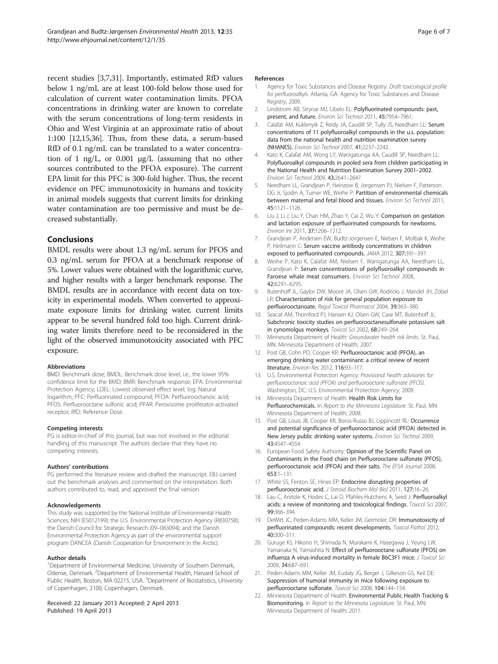recent studies [3,7,31]. Importantly, estimated RfD values below 1 ng/mL are at least 100-fold below those used for calculation of current water contamination limits. PFOA concentrations in drinking water are known to correlate with the serum concentrations of long-term residents in Ohio and West Virginia at an approximate ratio of about 1:100 [12,15,36]. Thus, from these data, a serum-based RfD of 0.1 ng/mL can be translated to a water concentration of 1 ng/L, or 0.001 μg/L (assuming that no other sources contributed to the PFOA exposure). The current EPA limit for this PFC is 300-fold higher. Thus, the recent evidence on PFC immunotoxicity in humans and toxicity in animal models suggests that current limits for drinking water contamination are too permissive and must be decreased substantially.

# Conclusions

BMDL results were about 1.3 ng/mL serum for PFOS and 0.3 ng/mL serum for PFOA at a benchmark response of 5%. Lower values were obtained with the logarithmic curve, and higher results with a larger benchmark response. The BMDL results are in accordance with recent data on toxicity in experimental models. When converted to approximate exposure limits for drinking water, current limits appear to be several hundred fold too high. Current drinking water limits therefore need to be reconsidered in the light of the observed immunotoxicity associated with PFC exposure.

### Abbreviations

 $BMD:$  Benchmark dose;  $BMDI:$  Benchmark dose level, i.e., the lower 95% confidence limit for the BMD; BMR: Benchmark response; EPA: Environmental Protection Agency; LOEL: Lowest observed effect level; log: Natural logarithm; PFC: Perfluorinated compound; PFOA: Perfluorooctanoic acid; PFOS: Perfluorooctane sulfonic acid; PPAR: Peroxisome proliferator-activated receptor; RfD: Reference Dose.

### Competing interests

PG is editor-in-chief of this journal, but was not involved in the editorial handling of this manuscript. The authors declare that they have no competing interests.

### Authors' contributions

PG performed the literature review and drafted the manuscript. EBJ carried out the benchmark analyses and commented on the interpretation. Both authors contributed to, read, and approved the final version.

### Acknowledgements

This study was supported by the National Institute of Environmental Health Sciences, NIH (ES012199); the U.S. Environmental Protection Agency (R830758); the Danish Council for Strategic Research (09–063094); and the Danish Environmental Protection Agency as part of the environmental support program DANCEA (Danish Cooperation for Environment in the Arctic).

#### Author details

<sup>1</sup>Department of Environmental Medicine, University of Southern Denmark, Odense, Denmark. <sup>2</sup>Department of Environmental Health, Harvard School of Public Health, Boston, MA 02215, USA. <sup>3</sup>Department of Biostatistics, University of Copenhagen, 2100, Copenhagen, Denmark.

### Received: 22 January 2013 Accepted: 2 April 2013 Published: 19 April 2013

#### References

- 1. Agency for Toxic Substances and Disease Registry: Draft toxicological profile for perfluoroalkyls. Atlanta, GA: Agency for Toxic Substances and Disease Registry; 2009.
- 2. Lindstrom AB, Strynar MJ, Libelo EL: Polyfluorinated compounds: past, present, and future. Environ Sci Technol 2011, 45:7954–7961.
- 3. Calafat AM, Kuklenyik Z, Reidy JA, Caudill SP, Tully JS, Needham LL: Serum concentrations of 11 polyfluoroalkyl compounds in the u.s. population: data from the national health and nutrition examination survey (NHANES). Environ Sci Technol 2007, 41:2237–2242.
- 4. Kato K, Calafat AM, Wong LY, Wanigatunga AA, Caudill SP, Needham LL: Polyfluoroalkyl compounds in pooled sera from children participating in the National Health and Nutrition Examination Survey 2001–2002. Environ Sci Technol 2009, 43:2641–2647.
- 5. Needham LL, Grandjean P, Heinzow B, Jorgensen PJ, Nielsen F, Patterson DG Jr, Sjodin A, Turner WE, Weihe P: Partition of environmental chemicals between maternal and fetal blood and tissues. Environ Sci Technol 2011, 45:1121–1126.
- 6. Liu J, Li J, Liu Y, Chan HM, Zhao Y, Cai Z, Wu Y: Comparison on gestation and lactation exposure of perfluorinated compounds for newborns. Environ Int 2011, 37:1206–1212.
- 7. Grandjean P, Andersen EW, Budtz-Jorgensen E, Nielsen F, Molbak K, Weihe P, Heilmann C: Serum vaccine antibody concentrations in children exposed to perfluorinated compounds. JAMA 2012, 307:391–397.
- 8. Weihe P, Kato K, Calafat AM, Nielsen F, Wanigatunga AA, Needham LL, Grandjean P: Serum concentrations of polyfluoroalkyl compounds in Faroese whale meat consumers. Environ Sci Technol 2008, 42:6291–6295.
- 9. Butenhoff JL, Gaylor DW, Moore JA, Olsen GW, Rodricks J, Mandel JH, Zobel LR: Characterization of risk for general population exposure to perfluorooctanoate. Regul Toxicol Pharmacol 2004, 39:363–380.
- 10. Seacat AM, Thomford PJ, Hansen KJ, Olsen GW, Case MT, Butenhoff JL: Subchronic toxicity studies on perfluorooctanesulfonate potassium salt in cynomolgus monkeys. Toxicol Sci 2002, 68:249–264.
- 11. Minnesota Department of Health: Groundwater health risk limits. St. Paul, MN: Minnesota Department of Health; 2007.
- 12. Post GB, Cohn PD, Cooper KR: Perfluorooctanoic acid (PFOA), an emerging drinking water contaminant: a critical review of recent literature. Environ Res 2012, 116:93–117.
- 13. U.S. Environmental Protection Agency: Provisional health advisories for perfluorooctanoic acid (PFOA) and perfluorooctane sulfonate (PFOS). Washington, DC: U.S. Environmental Protection Agency; 2009.
- 14. Minnesota Department of Health: Health Risk Limits for Perfluorochemicals. In Report to the Minnesota Legislature. St. Paul, MN: Minnesota Department of Health; 2008.
- 15. Post GB, Louis JB, Cooper KR, Boros-Russo BJ, Lippincott RL: Occurrence and potential significance of perfluorooctanoic acid (PFOA) detected in New Jersey public drinking water systems. Environ Sci Technol 2009, 43:4547–4554.
- 16. European Food Safety Authority: Opinion of the Scientific Panel on Contaminants in the Food chain on Perfluorooctane sulfonate (PFOS), perfluorooctanoic acid (PFOA) and their salts. The EFSA Journal 2008, 653:1–131.
- 17. White SS, Fenton SE, Hines EP: Endocrine disrupting properties of perfluorooctanoic acid. J Steroid Biochem Mol Biol 2011, 127:16–26.
- 18. Lau C, Anitole K, Hodes C, Lai D, Pfahles-Hutchens A, Seed J: Perfluoroalkyl acids: a review of monitoring and toxicological findings. Toxicol Sci 2007, 99:366–394.
- 19. DeWitt JC, Peden-Adams MM, Keller JM, Germolec DR: Immunotoxicity of perfluorinated compounds: recent developments. Toxicol Pathol 2012, 40:300–311.
- 20. Guruge KS, Hikono H, Shimada N, Murakami K, Hasegawa J, Yeung LW, Yamanaka N, Yamashita N: Effect of perfluorooctane sulfonate (PFOS) on influenza A virus-induced mortality in female B6C3F1 mice. J Toxicol Sci 2009, 34:687–691.
- 21. Peden-Adams MM, Keller JM, Eudaly JG, Berger J, Gilkeson GS, Keil DE: Suppression of humoral immunity in mice following exposure to perfluorooctane sulfonate. Toxicol Sci 2008, 104:144–154.
- 22. Minnesota Department of Health: Environmental Public Health Tracking & Biomonitoring. In Report to the Minnesota Legislature. St. Paul, MN: Minnesota Department of Health; 2011.